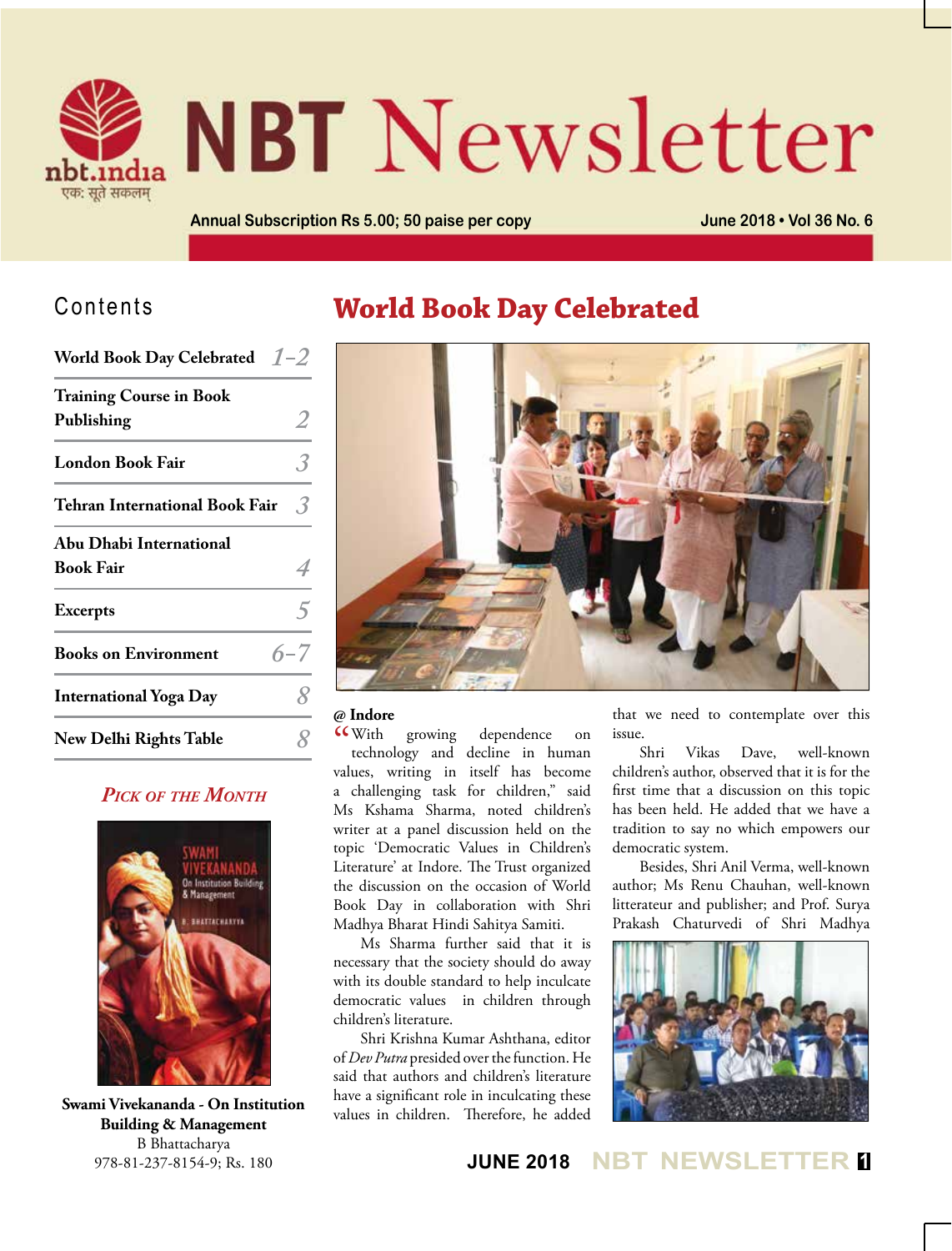

# **NBT** Newsletter

**Annual Subscription Rs 5.00; 50 paise per copy June 2018 • Vol 36 No. 6**

# Contents

| World Book Day Celebrated $1-2$              |         |
|----------------------------------------------|---------|
| <b>Training Course in Book</b><br>Publishing |         |
| London Book Fair                             |         |
| Tehran International Book Fair               | 3       |
| Abu Dhabi International                      |         |
| <b>Book Fair</b>                             | 4       |
| <b>Excerpts</b>                              | 5       |
| <b>Books on Environment</b>                  | $6 - 7$ |
| <b>International Yoga Day</b>                |         |
| <b>New Delhi Rights Table</b>                |         |

# *Pick of the Month*



**Swami Vivekananda - On Institution Building & Management**  B Bhattacharya 978-81-237-8154-9; Rs. 180

# **World Book Day Celebrated**



# **@ Indore**

 $G$  With growing dependence on technology and decline in human values, writing in itself has become a challenging task for children," said Ms Kshama Sharma, noted children's writer at a panel discussion held on the topic 'Democratic Values in Children's Literature' at Indore. The Trust organized the discussion on the occasion of World Book Day in collaboration with Shri Madhya Bharat Hindi Sahitya Samiti.

Ms Sharma further said that it is necessary that the society should do away with its double standard to help inculcate democratic values in children through children's literature.

Shri Krishna Kumar Ashthana, editor of *Dev Putra* presided over the function. He said that authors and children's literature have a significant role in inculcating these values in children. Therefore, he added

that we need to contemplate over this issue.

Shri Vikas Dave, well-known children's author, observed that it is for the first time that a discussion on this topic has been held. He added that we have a tradition to say no which empowers our democratic system.

Besides, Shri Anil Verma, well-known author; Ms Renu Chauhan, well-known litterateur and publisher; and Prof. Surya Prakash Chaturvedi of Shri Madhya



**JUNE 2018 NBT NEWSLETTER <sup>1</sup>**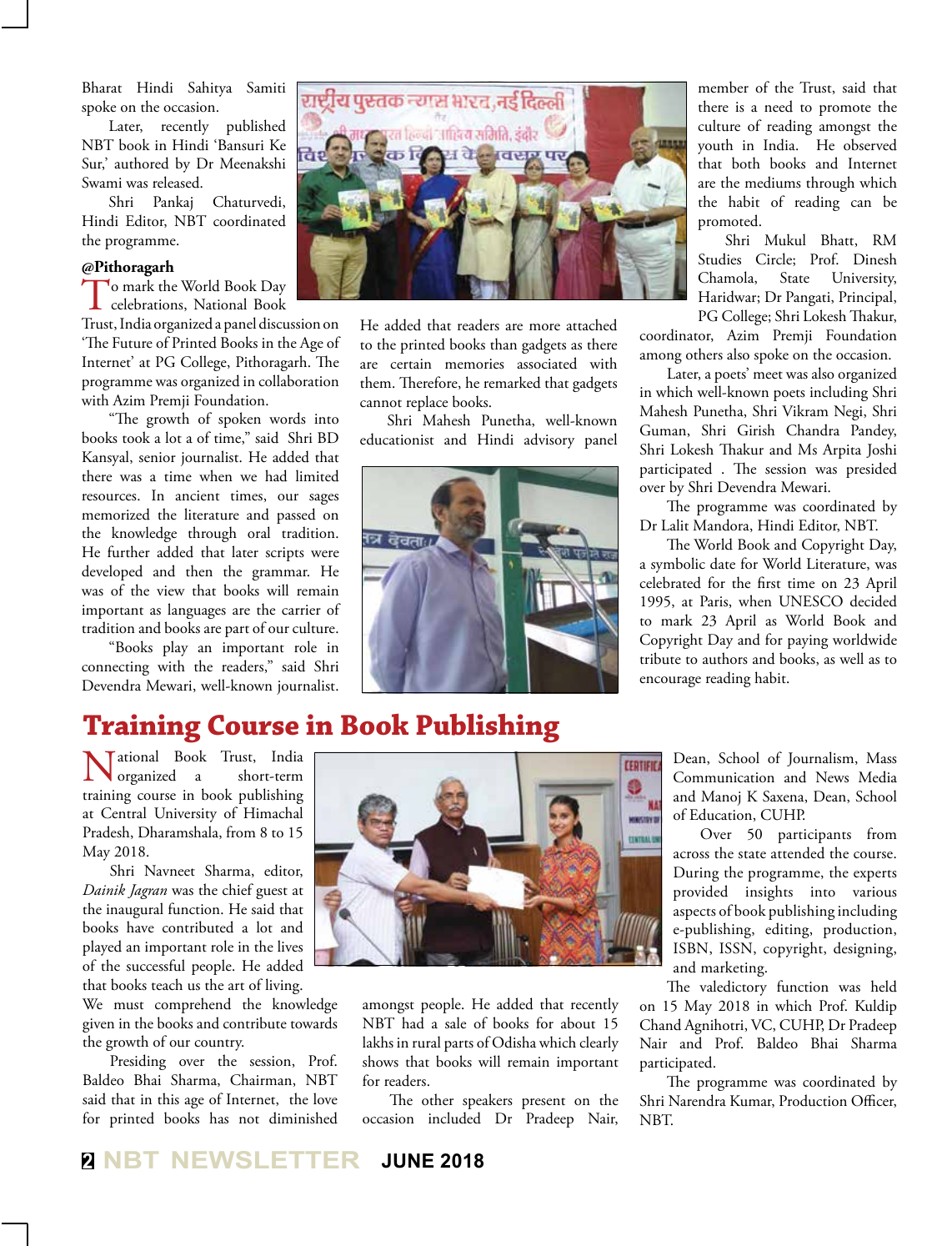Bharat Hindi Sahitya Samiti spoke on the occasion.

Later, recently published NBT book in Hindi 'Bansuri Ke Sur,' authored by Dr Meenakshi Swami was released.

Shri Pankaj Chaturvedi, Hindi Editor, NBT coordinated the programme.

### **@Pithoragarh**

To mark the World Book Day<br>celebrations, National Book

Trust, India organized a panel discussion on 'The Future of Printed Books in the Age of Internet' at PG College, Pithoragarh. The programme was organized in collaboration with Azim Premji Foundation.

"The growth of spoken words into books took a lot a of time," said Shri BD Kansyal, senior journalist. He added that there was a time when we had limited resources. In ancient times, our sages memorized the literature and passed on the knowledge through oral tradition. He further added that later scripts were developed and then the grammar. He was of the view that books will remain important as languages are the carrier of tradition and books are part of our culture.

"Books play an important role in connecting with the readers," said Shri Devendra Mewari, well-known journalist.



He added that readers are more attached to the printed books than gadgets as there are certain memories associated with them. Therefore, he remarked that gadgets cannot replace books.

Shri Mahesh Punetha, well-known educationist and Hindi advisory panel



member of the Trust, said that there is a need to promote the culture of reading amongst the youth in India. He observed that both books and Internet are the mediums through which the habit of reading can be promoted.

Shri Mukul Bhatt, RM Studies Circle; Prof. Dinesh Chamola, State University, Haridwar; Dr Pangati, Principal, PG College; Shri Lokesh Thakur,

coordinator, Azim Premji Foundation among others also spoke on the occasion.

Later, a poets' meet was also organized in which well-known poets including Shri Mahesh Punetha, Shri Vikram Negi, Shri Guman, Shri Girish Chandra Pandey, Shri Lokesh Thakur and Ms Arpita Joshi participated . The session was presided over by Shri Devendra Mewari.

The programme was coordinated by Dr Lalit Mandora, Hindi Editor, NBT.

The World Book and Copyright Day, a symbolic date for World Literature, was celebrated for the first time on 23 April 1995, at Paris, when UNESCO decided to mark 23 April as World Book and Copyright Day and for paying worldwide tribute to authors and books, as well as to encourage reading habit.

# **Training Course in Book Publishing**

National Book Trust, India organized a short-term training course in book publishing at Central University of Himachal Pradesh, Dharamshala, from 8 to 15 May 2018.

Shri Navneet Sharma, editor, *Dainik Jagran* was the chief guest at the inaugural function. He said that books have contributed a lot and played an important role in the lives of the successful people. He added that books teach us the art of living.

We must comprehend the knowledge given in the books and contribute towards the growth of our country.

Presiding over the session, Prof. Baldeo Bhai Sharma, Chairman, NBT said that in this age of Internet, the love for printed books has not diminished



amongst people. He added that recently NBT had a sale of books for about 15 lakhs in rural parts of Odisha which clearly shows that books will remain important for readers.

The other speakers present on the occasion included Dr Pradeep Nair, Dean, School of Journalism, Mass Communication and News Media and Manoj K Saxena, Dean, School of Education, CUHP.

Over 50 participants from across the state attended the course. During the programme, the experts provided insights into various aspects of book publishing including e-publishing, editing, production, ISBN, ISSN, copyright, designing, and marketing.

The valedictory function was held on 15 May 2018 in which Prof. Kuldip Chand Agnihotri, VC, CUHP, Dr Pradeep Nair and Prof. Baldeo Bhai Sharma participated.

The programme was coordinated by Shri Narendra Kumar, Production Officer, NBT.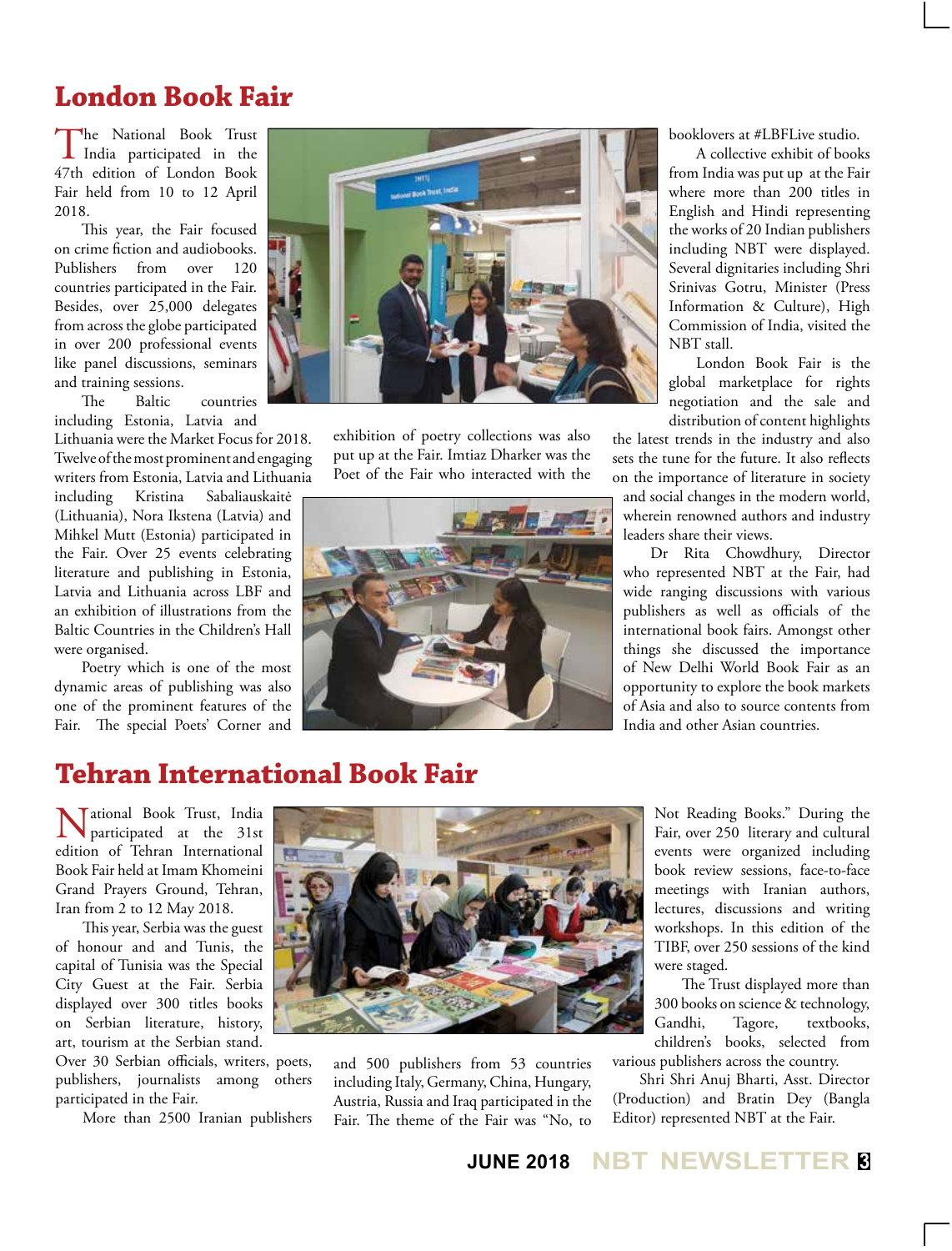# **London Book Fair**

 $\prod_{i=1}^{n} \text{Median}$  Book Trust India participated in the set of  $I_n$ 47th edition of London Book Fair held from 10 to 12 April 2018.

This year, the Fair focused on crime fiction and audiobooks. Publishers from over 120 countries participated in the Fair. Besides, over 25,000 delegates from across the globe participated in over 200 professional events like panel discussions, seminars and training sessions.

The Baltic countries including Estonia, Latvia and

Lithuania were the Market Focus for 2018. Twelve of the most prominent and engaging writers from Estonia, Latvia and Lithuania

including Kristina Sabaliauskaitė (Lithuania), Nora Ikstena (Latvia) and Mihkel Mutt (Estonia) participated in the Fair. Over 25 events celebrating literature and publishing in Estonia, Latvia and Lithuania across LBF and an exhibition of illustrations from the Baltic Countries in the Children's Hall were organised.

Poetry which is one of the most dynamic areas of publishing was also one of the prominent features of the Fair. The special Poets' Corner and



exhibition of poetry collections was also put up at the Fair. Imtiaz Dharker was the Poet of the Fair who interacted with the



booklovers at #LBFLive studio.

A collective exhibit of books from India was put up at the Fair where more than 200 titles in English and Hindi representing the works of 20 Indian publishers including NBT were displayed. Several dignitaries including Shri Srinivas Gotru, Minister (Press Information & Culture), High Commission of India, visited the NBT stall.

London Book Fair is the global marketplace for rights negotiation and the sale and distribution of content highlights

the latest trends in the industry and also sets the tune for the future. It also reflects on the importance of literature in society

and social changes in the modern world, wherein renowned authors and industry leaders share their views.

Dr Rita Chowdhury, Director who represented NBT at the Fair, had wide ranging discussions with various publishers as well as officials of the international book fairs. Amongst other things she discussed the importance of New Delhi World Book Fair as an opportunity to explore the book markets of Asia and also to source contents from India and other Asian countries.

# **Tehran International Book Fair**

National Book Trust, India participated at the 31st edition of Tehran International Book Fair held at Imam Khomeini Grand Prayers Ground, Tehran, Iran from 2 to 12 May 2018.

This year, Serbia was the guest of honour and and Tunis, the capital of Tunisia was the Special City Guest at the Fair. Serbia displayed over 300 titles books on Serbian literature, history, art, tourism at the Serbian stand.

Over 30 Serbian officials, writers, poets, publishers, journalists among others participated in the Fair.

More than 2500 Iranian publishers



and 500 publishers from 53 countries including Italy, Germany, China, Hungary, Austria, Russia and Iraq participated in the Fair. The theme of the Fair was "No, to

Not Reading Books." During the Fair, over 250 literary and cultural events were organized including book review sessions, face-to-face meetings with Iranian authors, lectures, discussions and writing workshops. In this edition of the TIBF, over 250 sessions of the kind were staged.

The Trust displayed more than 300 books on science & technology, Gandhi, Tagore, textbooks, children's books, selected from

various publishers across the country. Shri Shri Anuj Bharti, Asst. Director

(Production) and Bratin Dey (Bangla Editor) represented NBT at the Fair.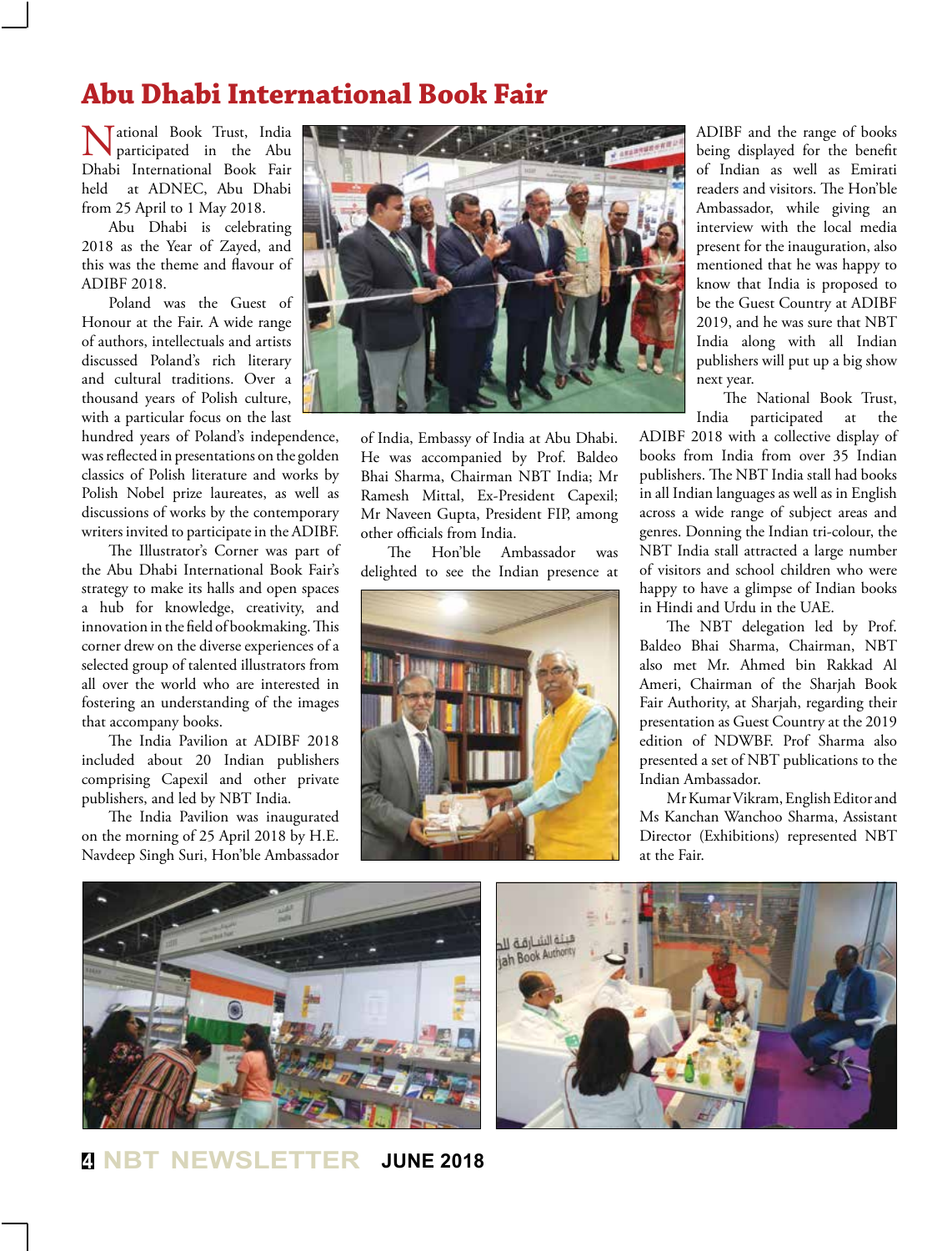# **Abu Dhabi International Book Fair**

National Book Trust, India participated in the Abu Dhabi International Book Fair held at ADNEC, Abu Dhabi from 25 April to 1 May 2018.

Abu Dhabi is celebrating 2018 as the Year of Zayed, and this was the theme and flavour of ADIBF 2018.

Poland was the Guest of Honour at the Fair. A wide range of authors, intellectuals and artists discussed Poland's rich literary and cultural traditions. Over a thousand years of Polish culture, with a particular focus on the last

hundred years of Poland's independence, was reflected in presentations on the golden classics of Polish literature and works by Polish Nobel prize laureates, as well as discussions of works by the contemporary writers invited to participate in the ADIBF.

The Illustrator's Corner was part of the Abu Dhabi International Book Fair's strategy to make its halls and open spaces a hub for knowledge, creativity, and innovation in the field of bookmaking. This corner drew on the diverse experiences of a selected group of talented illustrators from all over the world who are interested in fostering an understanding of the images that accompany books.

The India Pavilion at ADIBF 2018 included about 20 Indian publishers comprising Capexil and other private publishers, and led by NBT India.

The India Pavilion was inaugurated on the morning of 25 April 2018 by H.E. Navdeep Singh Suri, Hon'ble Ambassador



of India, Embassy of India at Abu Dhabi. He was accompanied by Prof. Baldeo Bhai Sharma, Chairman NBT India; Mr Ramesh Mittal, Ex-President Capexil; Mr Naveen Gupta, President FIP, among other officials from India.

The Hon'ble Ambassador was delighted to see the Indian presence at



ADIBF and the range of books being displayed for the benefit of Indian as well as Emirati readers and visitors. The Hon'ble Ambassador, while giving an interview with the local media present for the inauguration, also mentioned that he was happy to know that India is proposed to be the Guest Country at ADIBF 2019, and he was sure that NBT India along with all Indian publishers will put up a big show next year.

The National Book Trust, India participated at the

ADIBF 2018 with a collective display of books from India from over 35 Indian publishers. The NBT India stall had books in all Indian languages as well as in English across a wide range of subject areas and genres. Donning the Indian tri-colour, the NBT India stall attracted a large number of visitors and school children who were happy to have a glimpse of Indian books in Hindi and Urdu in the UAE.

The NBT delegation led by Prof. Baldeo Bhai Sharma, Chairman, NBT also met Mr. Ahmed bin Rakkad Al Ameri, Chairman of the Sharjah Book Fair Authority, at Sharjah, regarding their presentation as Guest Country at the 2019 edition of NDWBF. Prof Sharma also presented a set of NBT publications to the Indian Ambassador.

Mr Kumar Vikram, English Editor and Ms Kanchan Wanchoo Sharma, Assistant Director (Exhibitions) represented NBT at the Fair.





**<sup>4</sup> NBT NEWSLETTER JUNE 2018**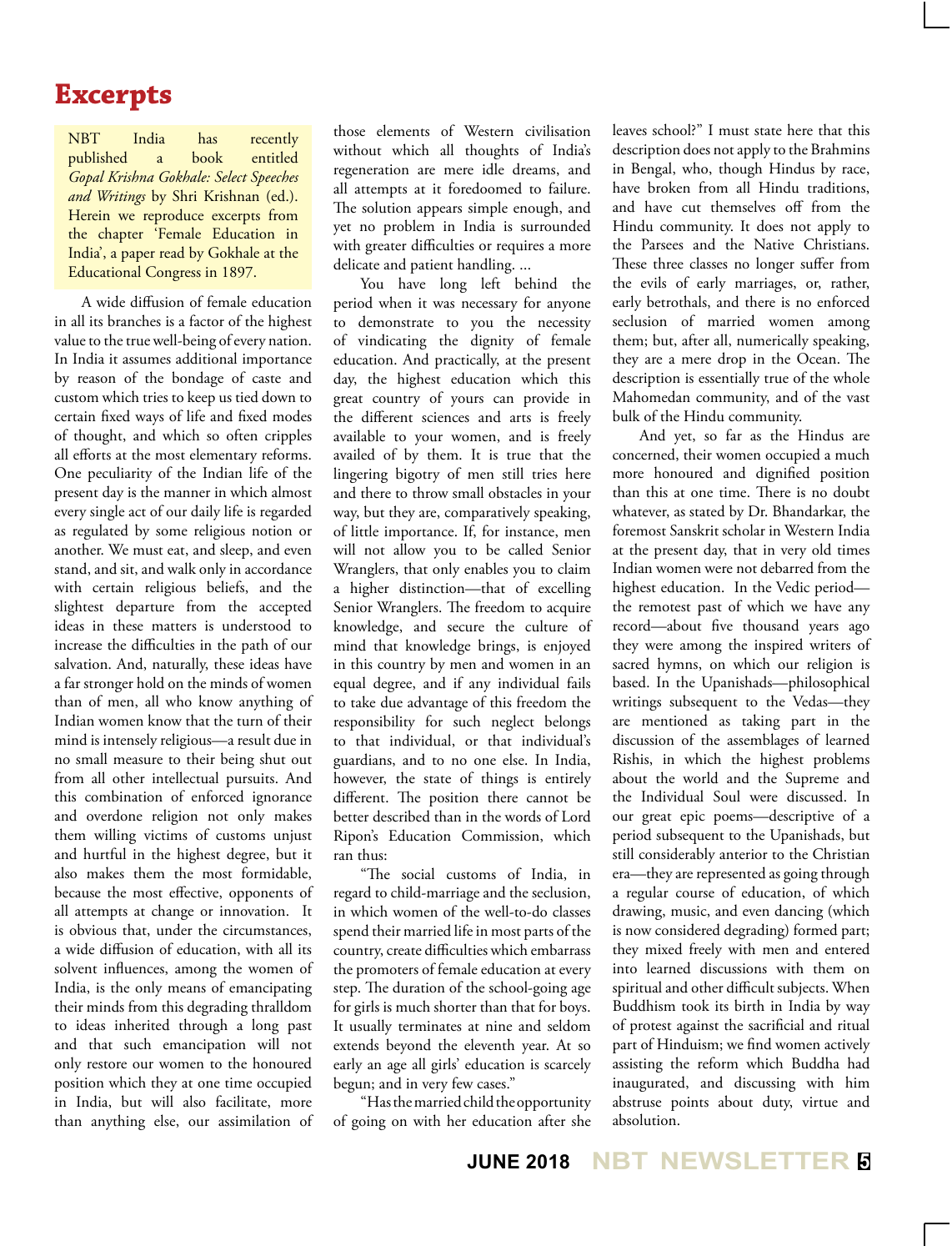# **Excerpts**

NBT India has recently<br>published a book entitled published a book entitled *Gopal Krishna Gokhale: Select Speeches and Writings* by Shri Krishnan (ed.). Herein we reproduce excerpts from the chapter 'Female Education in India', a paper read by Gokhale at the Educational Congress in 1897.

A wide diffusion of female education in all its branches is a factor of the highest value to the true well-being of every nation. In India it assumes additional importance by reason of the bondage of caste and custom which tries to keep us tied down to certain fixed ways of life and fixed modes of thought, and which so often cripples all efforts at the most elementary reforms. One peculiarity of the Indian life of the present day is the manner in which almost every single act of our daily life is regarded as regulated by some religious notion or another. We must eat, and sleep, and even stand, and sit, and walk only in accordance with certain religious beliefs, and the slightest departure from the accepted ideas in these matters is understood to increase the difficulties in the path of our salvation. And, naturally, these ideas have a far stronger hold on the minds of women than of men, all who know anything of Indian women know that the turn of their mind is intensely religious—a result due in no small measure to their being shut out from all other intellectual pursuits. And this combination of enforced ignorance and overdone religion not only makes them willing victims of customs unjust and hurtful in the highest degree, but it also makes them the most formidable, because the most effective, opponents of all attempts at change or innovation. It is obvious that, under the circumstances, a wide diffusion of education, with all its solvent influences, among the women of India, is the only means of emancipating their minds from this degrading thralldom to ideas inherited through a long past and that such emancipation will not only restore our women to the honoured position which they at one time occupied in India, but will also facilitate, more than anything else, our assimilation of

those elements of Western civilisation without which all thoughts of India's regeneration are mere idle dreams, and all attempts at it foredoomed to failure. The solution appears simple enough, and yet no problem in India is surrounded with greater difficulties or requires a more delicate and patient handling. ...

You have long left behind the period when it was necessary for anyone to demonstrate to you the necessity of vindicating the dignity of female education. And practically, at the present day, the highest education which this great country of yours can provide in the different sciences and arts is freely available to your women, and is freely availed of by them. It is true that the lingering bigotry of men still tries here and there to throw small obstacles in your way, but they are, comparatively speaking, of little importance. If, for instance, men will not allow you to be called Senior Wranglers, that only enables you to claim a higher distinction—that of excelling Senior Wranglers. The freedom to acquire knowledge, and secure the culture of mind that knowledge brings, is enjoyed in this country by men and women in an equal degree, and if any individual fails to take due advantage of this freedom the responsibility for such neglect belongs to that individual, or that individual's guardians, and to no one else. In India, however, the state of things is entirely different. The position there cannot be better described than in the words of Lord Ripon's Education Commission, which ran thus:

"The social customs of India, in regard to child-marriage and the seclusion, in which women of the well-to-do classes spend their married life in most parts of the country, create difficulties which embarrass the promoters of female education at every step. The duration of the school-going age for girls is much shorter than that for boys. It usually terminates at nine and seldom extends beyond the eleventh year. At so early an age all girls' education is scarcely begun; and in very few cases."

"Has the married child the opportunity of going on with her education after she

leaves school?" I must state here that this description does not apply to the Brahmins in Bengal, who, though Hindus by race, have broken from all Hindu traditions, and have cut themselves off from the Hindu community. It does not apply to the Parsees and the Native Christians. These three classes no longer suffer from the evils of early marriages, or, rather, early betrothals, and there is no enforced seclusion of married women among them; but, after all, numerically speaking, they are a mere drop in the Ocean. The description is essentially true of the whole Mahomedan community, and of the vast bulk of the Hindu community.

And yet, so far as the Hindus are concerned, their women occupied a much more honoured and dignified position than this at one time. There is no doubt whatever, as stated by Dr. Bhandarkar, the foremost Sanskrit scholar in Western India at the present day, that in very old times Indian women were not debarred from the highest education. In the Vedic period the remotest past of which we have any record—about five thousand years ago they were among the inspired writers of sacred hymns, on which our religion is based. In the Upanishads—philosophical writings subsequent to the Vedas—they are mentioned as taking part in the discussion of the assemblages of learned Rishis, in which the highest problems about the world and the Supreme and the Individual Soul were discussed. In our great epic poems—descriptive of a period subsequent to the Upanishads, but still considerably anterior to the Christian era—they are represented as going through a regular course of education, of which drawing, music, and even dancing (which is now considered degrading) formed part; they mixed freely with men and entered into learned discussions with them on spiritual and other difficult subjects. When Buddhism took its birth in India by way of protest against the sacrificial and ritual part of Hinduism; we find women actively assisting the reform which Buddha had inaugurated, and discussing with him abstruse points about duty, virtue and absolution.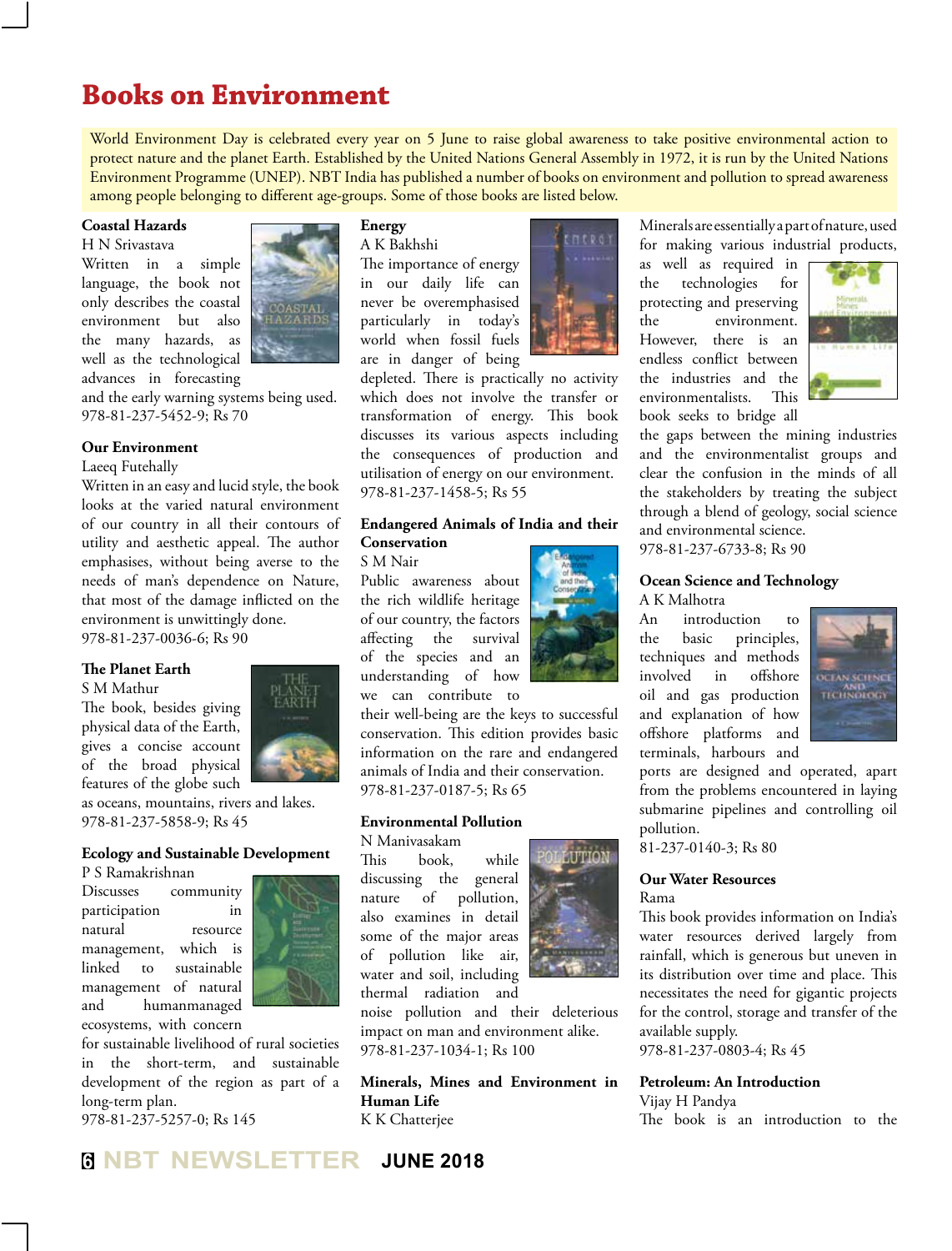# **Books on Environment**

World Environment Day is celebrated every year on 5 June to raise global awareness to take positive environmental action to protect nature and the planet Earth. Established by the United Nations General Assembly in 1972, it is run by the United Nations Environment Programme (UNEP). NBT India has published a number of books on environment and pollution to spread awareness among people belonging to different age-groups. Some of those books are listed below.

## **Coastal Hazards**

H N Srivastava Written in a simple language, the book not only describes the coastal environment but also the many hazards, as

advances in forecasting



and the early warning systems being used. 978-81-237-5452-9; Rs 70

## **Our Environment**

Laeeq Futehally

Written in an easy and lucid style, the book looks at the varied natural environment of our country in all their contours of utility and aesthetic appeal. The author emphasises, without being averse to the needs of man's dependence on Nature, that most of the damage inflicted on the environment is unwittingly done. 978-81-237-0036-6; Rs 90

## **The Planet Earth**

S M Mathur

The book, besides giving physical data of the Earth, gives a concise account of the broad physical features of the globe such



as oceans, mountains, rivers and lakes. 978-81-237-5858-9; Rs 45

# **Ecology and Sustainable Development**

P S Ramakrishnan Discusses community participation in natural resource management, which is linked to sustainable management of natural and humanmanaged ecosystems, with concern



for sustainable livelihood of rural societies in the short-term, and sustainable development of the region as part of a long-term plan.

978-81-237-5257-0; Rs 145

# **Energy**

A K Bakhshi The importance of energy in our daily life can never be overemphasised particularly in today's world when fossil fuels are in danger of being

depleted. There is practically no activity which does not involve the transfer or transformation of energy. This book discusses its various aspects including the consequences of production and utilisation of energy on our environment. 978-81-237-1458-5; Rs 55

# **Endangered Animals of India and their Conservation**

S M Nair

Public awareness about the rich wildlife heritage of our country, the factors affecting the survival of the species and an understanding of how we can contribute to

their well-being are the keys to successful conservation. This edition provides basic information on the rare and endangered animals of India and their conservation. 978-81-237-0187-5; Rs 65

## **Environmental Pollution**

N Manivasakam This book, while discussing the general nature of pollution, also examines in detail some of the major areas of pollution like air, water and soil, including thermal radiation and

noise pollution and their deleterious impact on man and environment alike. 978-81-237-1034-1; Rs 100

**Minerals, Mines and Environment in Human Life** 





Minerals are essentially a part of nature, used for making various industrial products,

as well as required in the technologies for protecting and preserving the environment. However, there is an endless conflict between the industries and the environmentalists. This book seeks to bridge all



the gaps between the mining industries and the environmentalist groups and clear the confusion in the minds of all the stakeholders by treating the subject through a blend of geology, social science and environmental science. 978-81-237-6733-8; Rs 90

## **Ocean Science and Technology** A K Malhotra

An introduction to the basic principles, techniques and methods involved in offshore oil and gas production and explanation of how offshore platforms and terminals, harbours and



ports are designed and operated, apart from the problems encountered in laying submarine pipelines and controlling oil pollution.

81-237-0140-3; Rs 80

# **Our Water Resources**

Rama

This book provides information on India's water resources derived largely from rainfall, which is generous but uneven in its distribution over time and place. This necessitates the need for gigantic projects for the control, storage and transfer of the available supply.

978-81-237-0803-4; Rs 45

## **Petroleum: An Introduction**

Vijay H Pandya The book is an introduction to the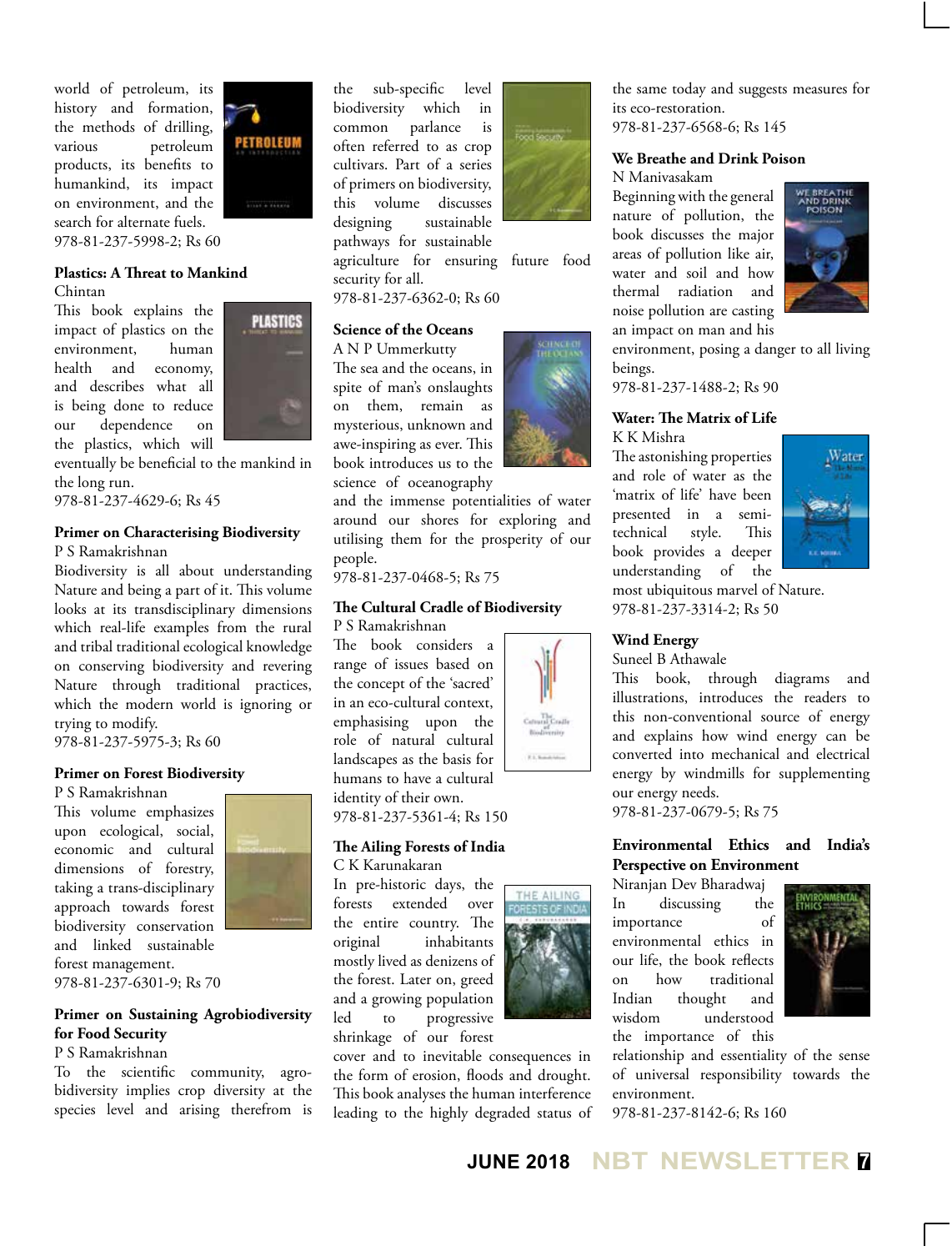world of petroleum, its history and formation, the methods of drilling, various petroleum products, its benefits to humankind, its impact on environment, and the search for alternate fuels. 978-81-237-5998-2; Rs 60

# **Plastics: A Threat to Mankind**

Chintan

This book explains the impact of plastics on the environment, human health and economy, and describes what all is being done to reduce our dependence on the plastics, which will



PETROLEUM

eventually be beneficial to the mankind in the long run.

978-81-237-4629-6; Rs 45

## **Primer on Characterising Biodiversity**  P S Ramakrishnan

Biodiversity is all about understanding Nature and being a part of it. This volume looks at its transdisciplinary dimensions which real-life examples from the rural and tribal traditional ecological knowledge on conserving biodiversity and revering Nature through traditional practices, which the modern world is ignoring or trying to modify.

**Primer on Sustaining Agrobiodiversity** 

To the scientific community, agrobidiversity implies crop diversity at the species level and arising therefrom is

978-81-237-5975-3; Rs 60

# **Primer on Forest Biodiversity**

P S Ramakrishnan

**for Food Security**  P S Ramakrishnan

This volume emphasizes upon ecological, social, economic and cultural dimensions of forestry, taking a trans-disciplinary approach towards forest biodiversity conservation and linked sustainable forest management. 978-81-237-6301-9; Rs 70



cover and to inevitable consequences in the form of erosion, floods and drought. This book analyses the human interference leading to the highly degraded status of



the same today and suggests measures for its eco-restoration. 978-81-237-6568-6; Rs 145

# **We Breathe and Drink Poison**

N Manivasakam

Beginning with the general nature of pollution, the book discusses the major areas of pollution like air, water and soil and how thermal radiation and noise pollution are casting an impact on man and his



environment, posing a danger to all living beings.

978-81-237-1488-2; Rs 90

## **Water: The Matrix of Life** K K Mishra

The astonishing properties and role of water as the 'matrix of life' have been presented in a semitechnical style. This book provides a deeper understanding of the



most ubiquitous marvel of Nature. 978-81-237-3314-2; Rs 50

# **Wind Energy**

Suneel B Athawale

This book, through diagrams and illustrations, introduces the readers to this non-conventional source of energy and explains how wind energy can be converted into mechanical and electrical energy by windmills for supplementing our energy needs.

978-81-237-0679-5; Rs 75

# **Environmental Ethics and India's Perspective on Environment**

Niranjan Dev Bharadwaj In discussing the importance of environmental ethics in our life, the book reflects on how traditional Indian thought and wisdom understood the importance of this



relationship and essentiality of the sense of universal responsibility towards the environment.

978-81-237-8142-6; Rs 160





and the immense potentialities of water around our shores for exploring and utilising them for the prosperity of our

**The Cultural Cradle of Biodiversity** 

agriculture for ensuring future food

P S Ramakrishnan The book considers a

people.

security for all.

978-81-237-6362-0; Rs 60

book introduces us to the science of oceanography

978-81-237-0468-5; Rs 75

range of issues based on the concept of the 'sacred' in an eco-cultural context, emphasising upon the role of natural cultural landscapes as the basis for humans to have a cultural identity of their own.

978-81-237-5361-4; Rs 150

## **The Ailing Forests of India**  C K Karunakaran

In pre-historic days, the forests extended over the entire country. The original inhabitants mostly lived as denizens of the forest. Later on, greed and a growing population led to progressive shrinkage of our forest